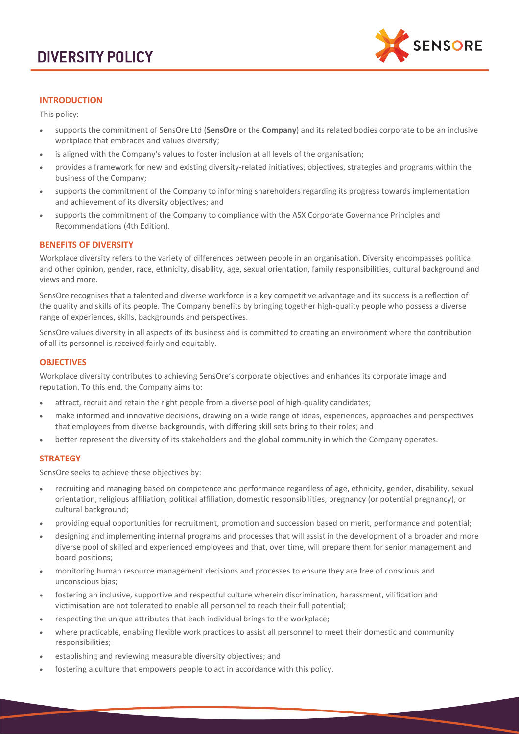

# **INTRODUCTION**

This policy:

- supports the commitment of SensOre Ltd (**SensOre** or the **Company**) and its related bodies corporate to be an inclusive workplace that embraces and values diversity;
- is aligned with the Company's values to foster inclusion at all levels of the organisation;
- provides a framework for new and existing diversity-related initiatives, objectives, strategies and programs within the business of the Company;
- supports the commitment of the Company to informing shareholders regarding its progress towards implementation and achievement of its diversity objectives; and
- supports the commitment of the Company to compliance with the ASX Corporate Governance Principles and Recommendations (4th Edition).

## **BENEFITS OF DIVERSITY**

Workplace diversity refers to the variety of differences between people in an organisation. Diversity encompasses political and other opinion, gender, race, ethnicity, disability, age, sexual orientation, family responsibilities, cultural background and views and more.

SensOre recognises that a talented and diverse workforce is a key competitive advantage and its success is a reflection of the quality and skills of its people. The Company benefits by bringing together high-quality people who possess a diverse range of experiences, skills, backgrounds and perspectives.

SensOre values diversity in all aspects of its business and is committed to creating an environment where the contribution of all its personnel is received fairly and equitably.

#### **OBJECTIVES**

Workplace diversity contributes to achieving SensOre's corporate objectives and enhances its corporate image and reputation. To this end, the Company aims to:

- attract, recruit and retain the right people from a diverse pool of high-quality candidates;
- make informed and innovative decisions, drawing on a wide range of ideas, experiences, approaches and perspectives that employees from diverse backgrounds, with differing skill sets bring to their roles; and
- better represent the diversity of its stakeholders and the global community in which the Company operates.

## **STRATEGY**

SensOre seeks to achieve these objectives by:

- recruiting and managing based on competence and performance regardless of age, ethnicity, gender, disability, sexual orientation, religious affiliation, political affiliation, domestic responsibilities, pregnancy (or potential pregnancy), or cultural background;
- providing equal opportunities for recruitment, promotion and succession based on merit, performance and potential;
- designing and implementing internal programs and processes that will assist in the development of a broader and more diverse pool of skilled and experienced employees and that, over time, will prepare them for senior management and board positions;
- monitoring human resource management decisions and processes to ensure they are free of conscious and unconscious bias;
- fostering an inclusive, supportive and respectful culture wherein discrimination, harassment, vilification and victimisation are not tolerated to enable all personnel to reach their full potential;
- respecting the unique attributes that each individual brings to the workplace;
- where practicable, enabling flexible work practices to assist all personnel to meet their domestic and community responsibilities;
- establishing and reviewing measurable diversity objectives; and
- fostering a culture that empowers people to act in accordance with this policy.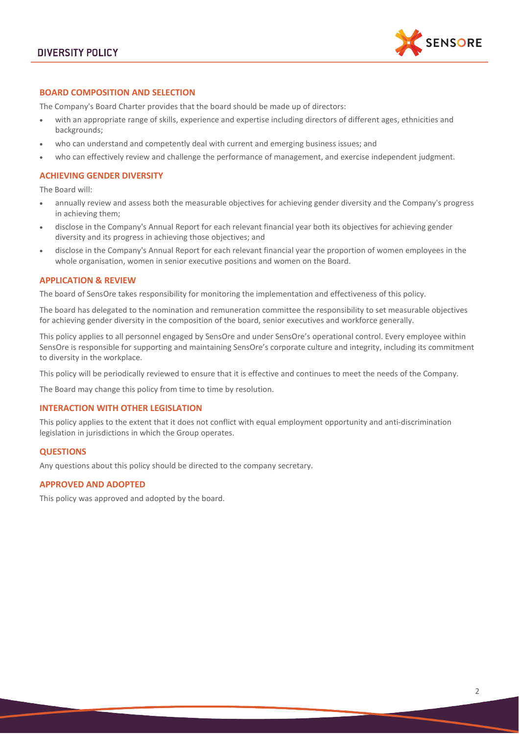

# **BOARD COMPOSITION AND SELECTION**

The Company's Board Charter provides that the board should be made up of directors:

- with an appropriate range of skills, experience and expertise including directors of different ages, ethnicities and backgrounds;
- who can understand and competently deal with current and emerging business issues; and
- who can effectively review and challenge the performance of management, and exercise independent judgment.

## **ACHIEVING GENDER DIVERSITY**

The Board will:

- annually review and assess both the measurable objectives for achieving gender diversity and the Company's progress in achieving them;
- disclose in the Company's Annual Report for each relevant financial year both its objectives for achieving gender diversity and its progress in achieving those objectives; and
- disclose in the Company's Annual Report for each relevant financial year the proportion of women employees in the whole organisation, women in senior executive positions and women on the Board.

## **APPLICATION & REVIEW**

The board of SensOre takes responsibility for monitoring the implementation and effectiveness of this policy.

The board has delegated to the nomination and remuneration committee the responsibility to set measurable objectives for achieving gender diversity in the composition of the board, senior executives and workforce generally.

This policy applies to all personnel engaged by SensOre and under SensOre's operational control. Every employee within SensOre is responsible for supporting and maintaining SensOre's corporate culture and integrity, including its commitment to diversity in the workplace.

This policy will be periodically reviewed to ensure that it is effective and continues to meet the needs of the Company.

The Board may change this policy from time to time by resolution.

## **INTERACTION WITH OTHER LEGISLATION**

This policy applies to the extent that it does not conflict with equal employment opportunity and anti-discrimination legislation in jurisdictions in which the Group operates.

#### **QUESTIONS**

Any questions about this policy should be directed to the company secretary.

#### **APPROVED AND ADOPTED**

This policy was approved and adopted by the board.